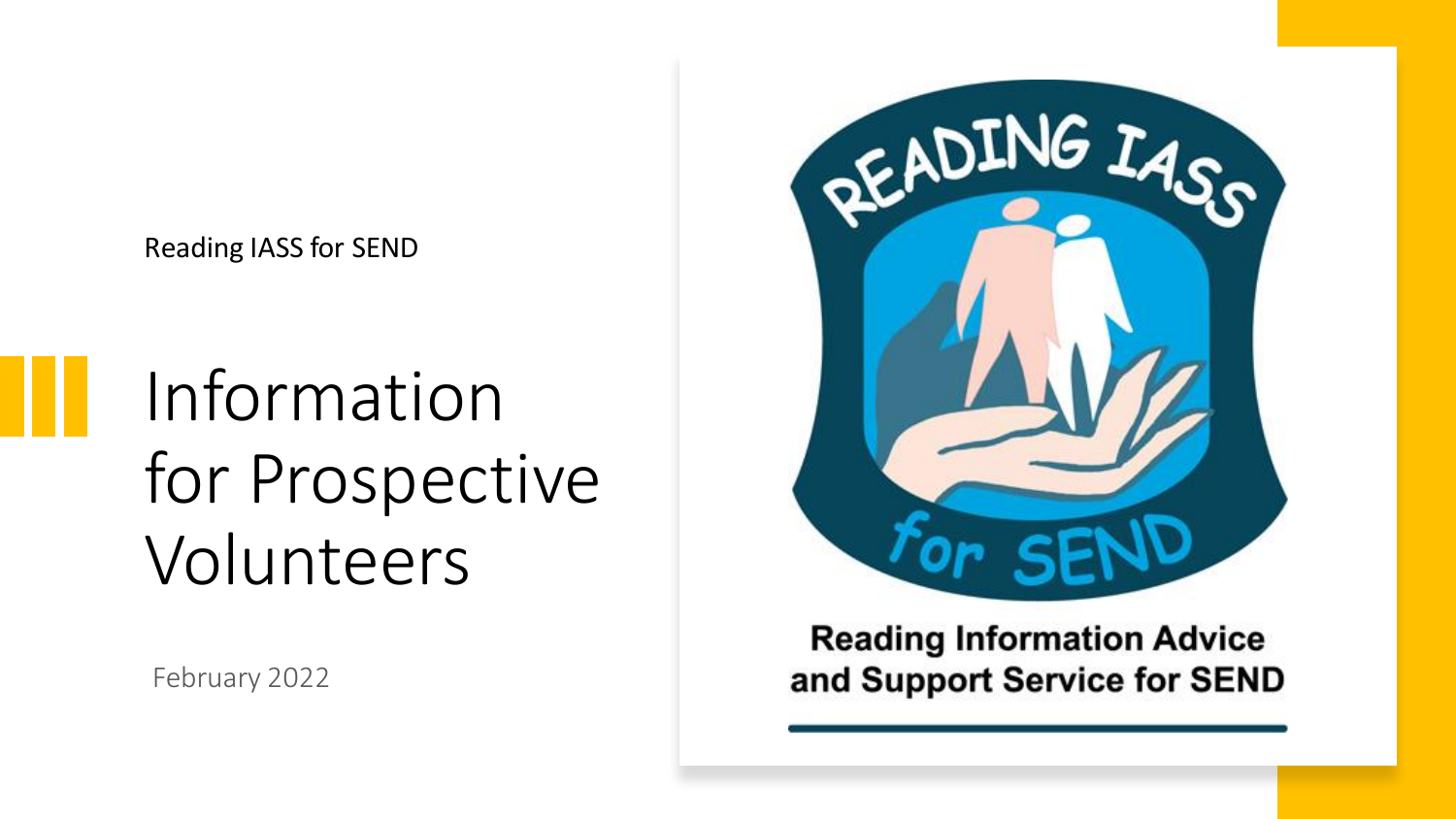Reading IASS for SEND

Information for Prospective Volunteers

February 2022



**Reading Information Advice** and Support Service for SEND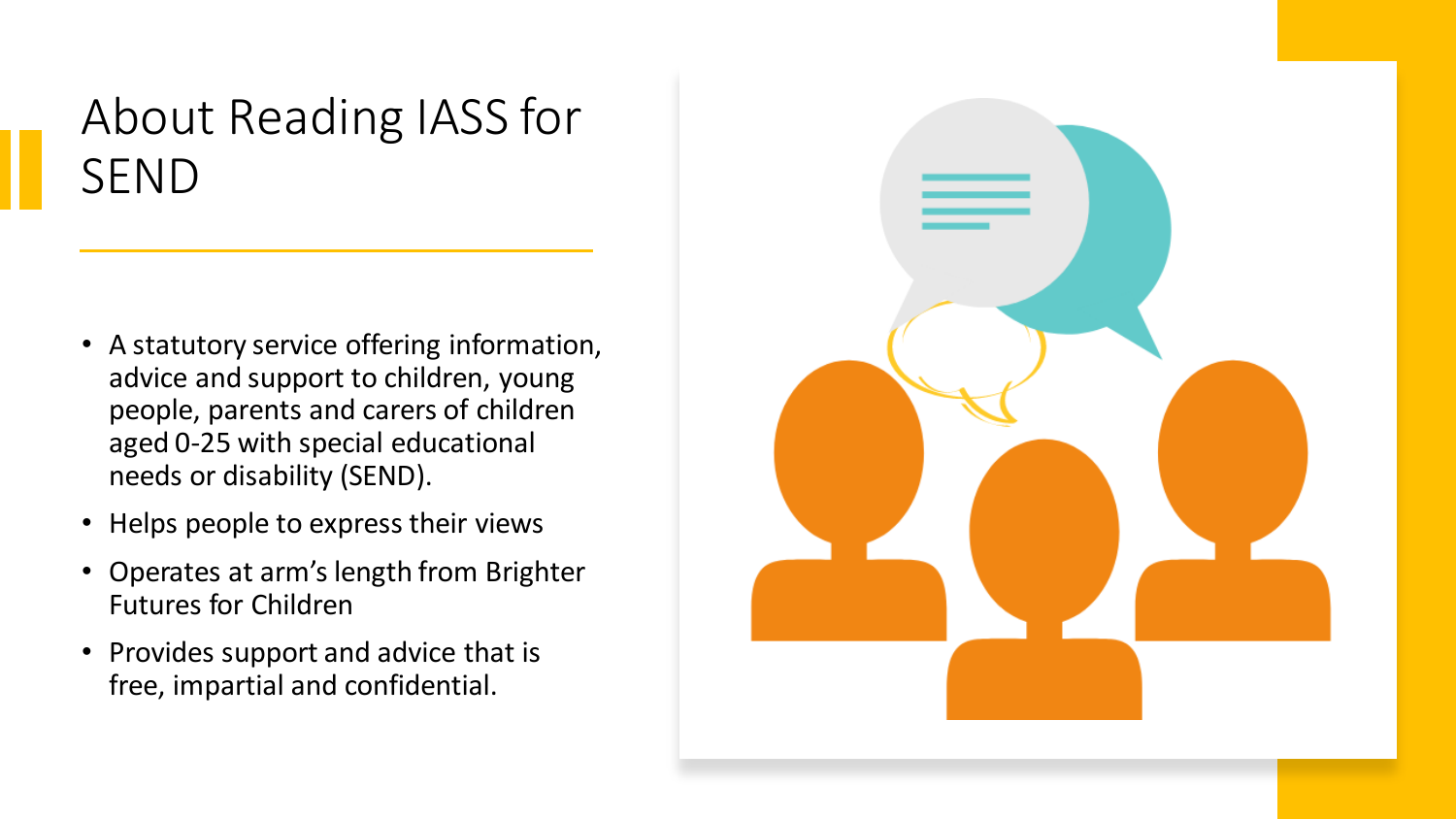#### About Reading IASS for SEND

- A statutory service offering information, advice and support to children, young people, parents and carers of children aged 0-25 with special educational needs or disability (SEND).
- Helps people to express their views
- Operates at arm's length from Brighter Futures for Children
- Provides support and advice that is free, impartial and confidential.

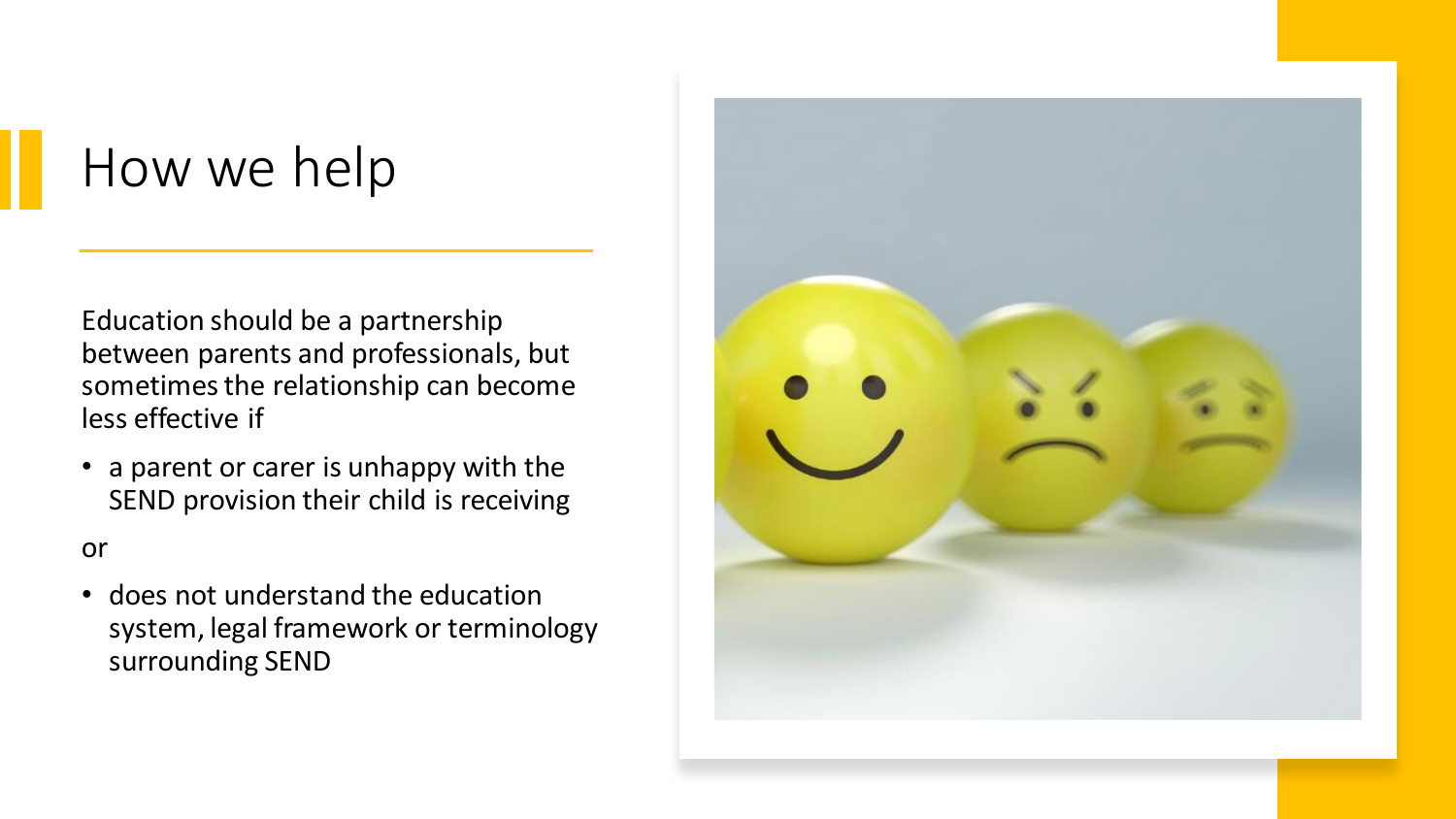## How we help

Education should be a partnership between parents and professionals, but sometimes the relationship can become less effective if

• a parent or carer is unhappy with the SEND provision their child is receiving

or

• does not understand the education system, legal framework or terminology surrounding SEND

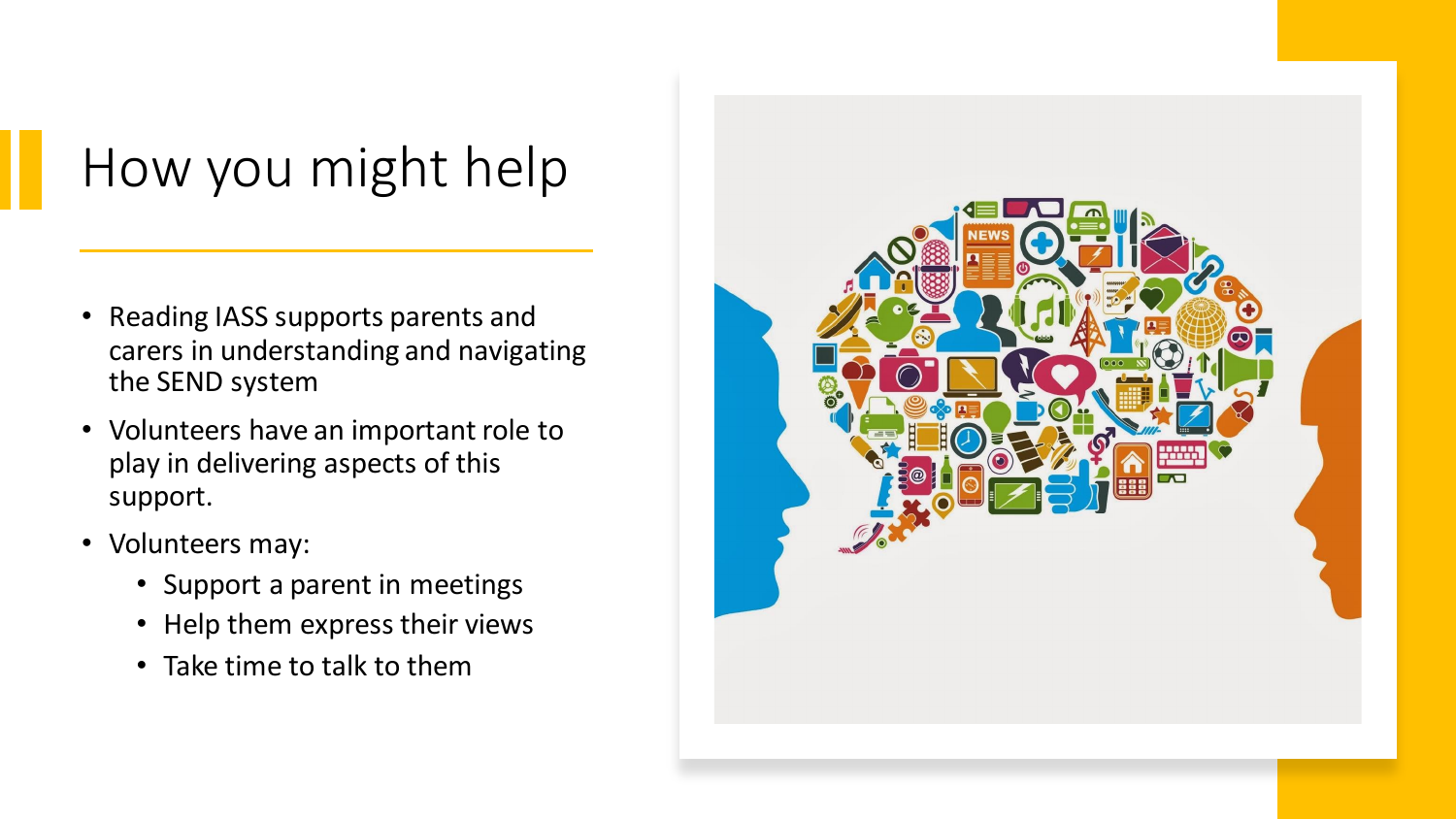# How you might help

- Reading IASS supports parents and carers in understanding and navigating the SEND system
- Volunteers have an important role to play in delivering aspects of this support.
- Volunteers may:
	- Support a parent in meetings
	- Help them express their views
	- Take time to talk to them

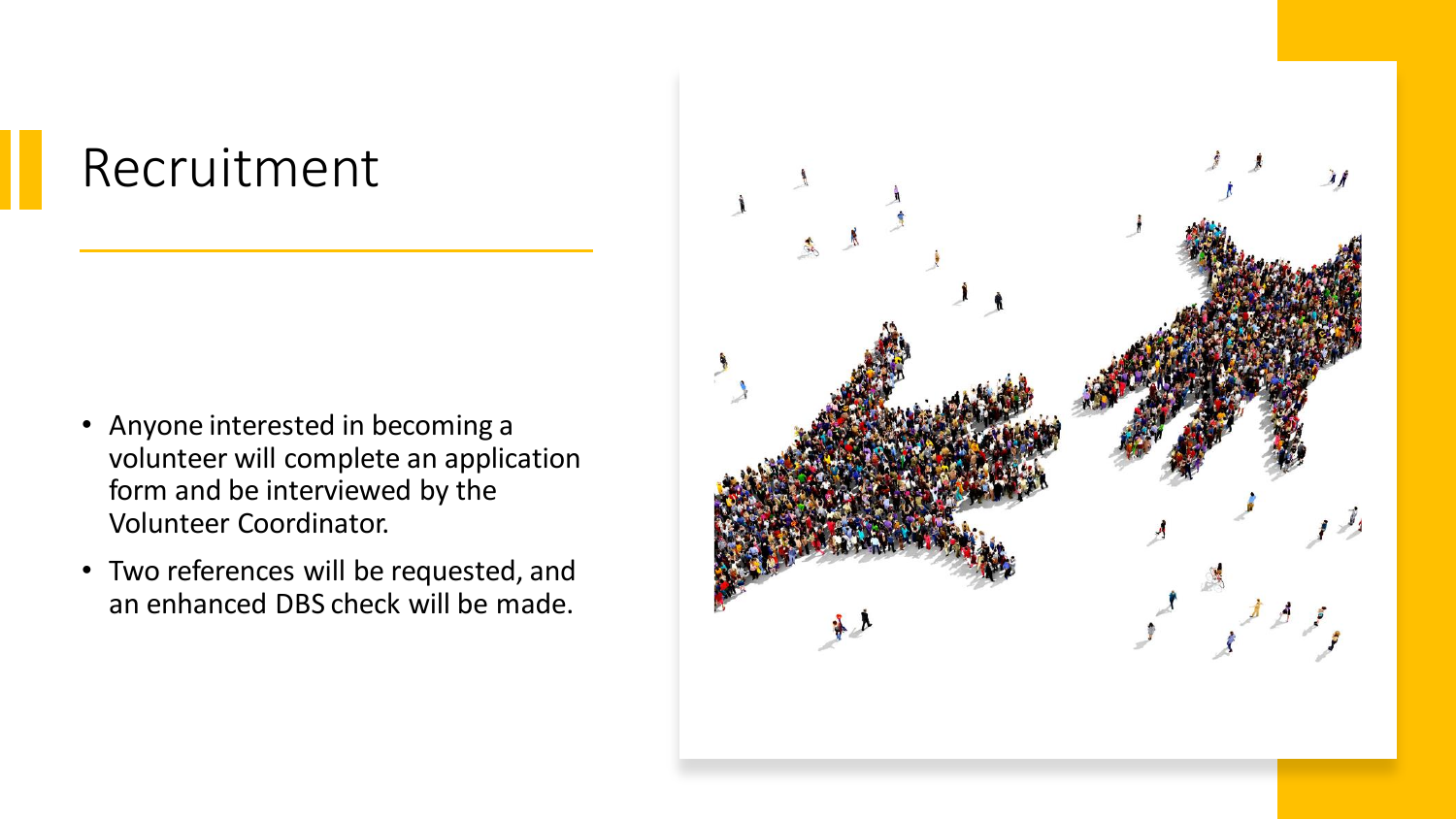## Recruitment

- Anyone interested in becoming a volunteer will complete an application form and be interviewed by the Volunteer Coordinator.
- Two references will be requested, and an enhanced DBS check will be made.

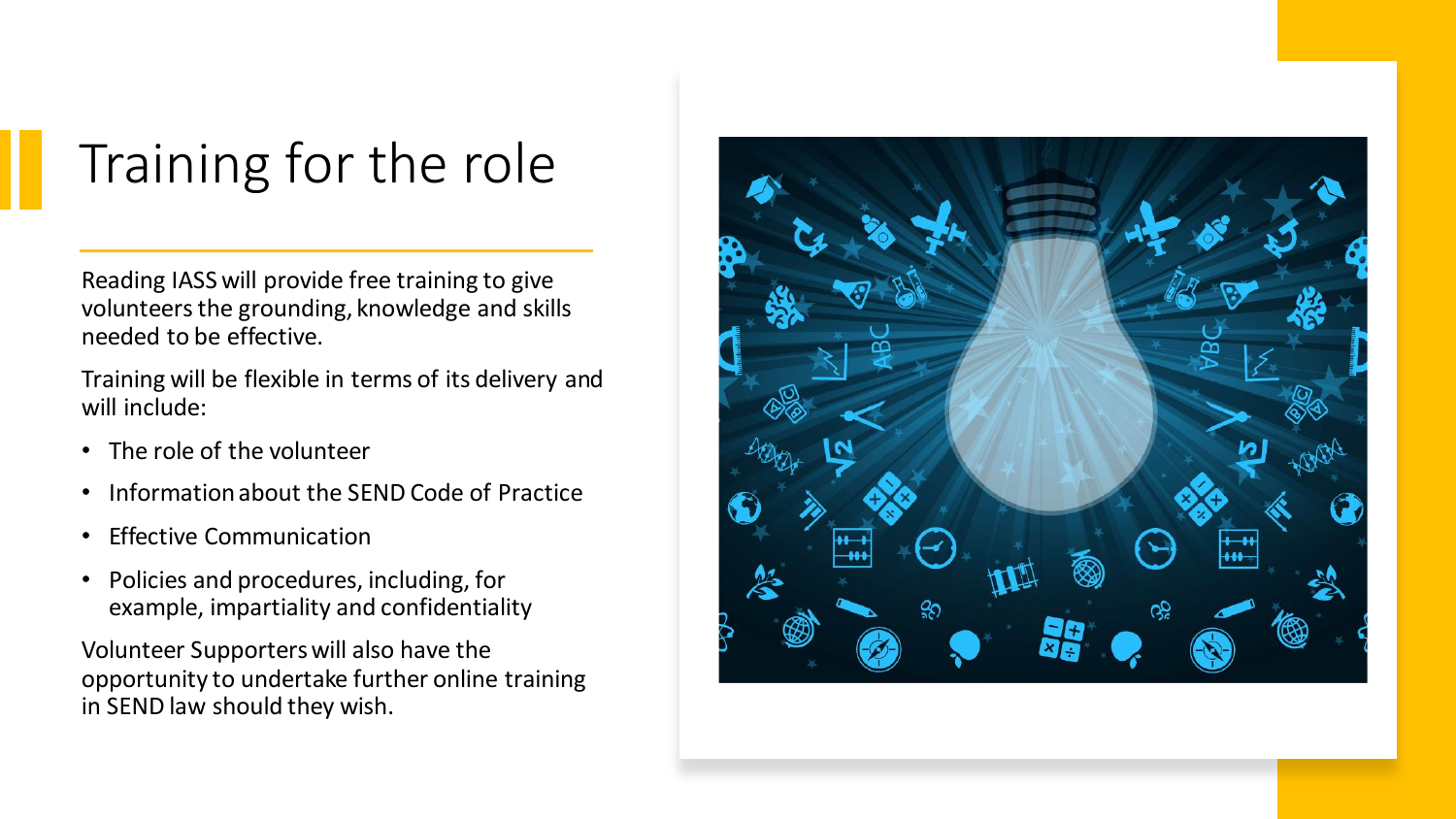# Training for the role

Reading IASS will provide free training to give volunteers the grounding, knowledge and skills needed to be effective.

Training will be flexible in terms of its delivery and will include:

- The role of the volunteer
- Information about the SEND Code of Practice
- Effective Communication
- Policies and procedures, including, for example, impartiality and confidentiality

Volunteer Supporters will also have the opportunity to undertake further online training in SEND law should they wish.

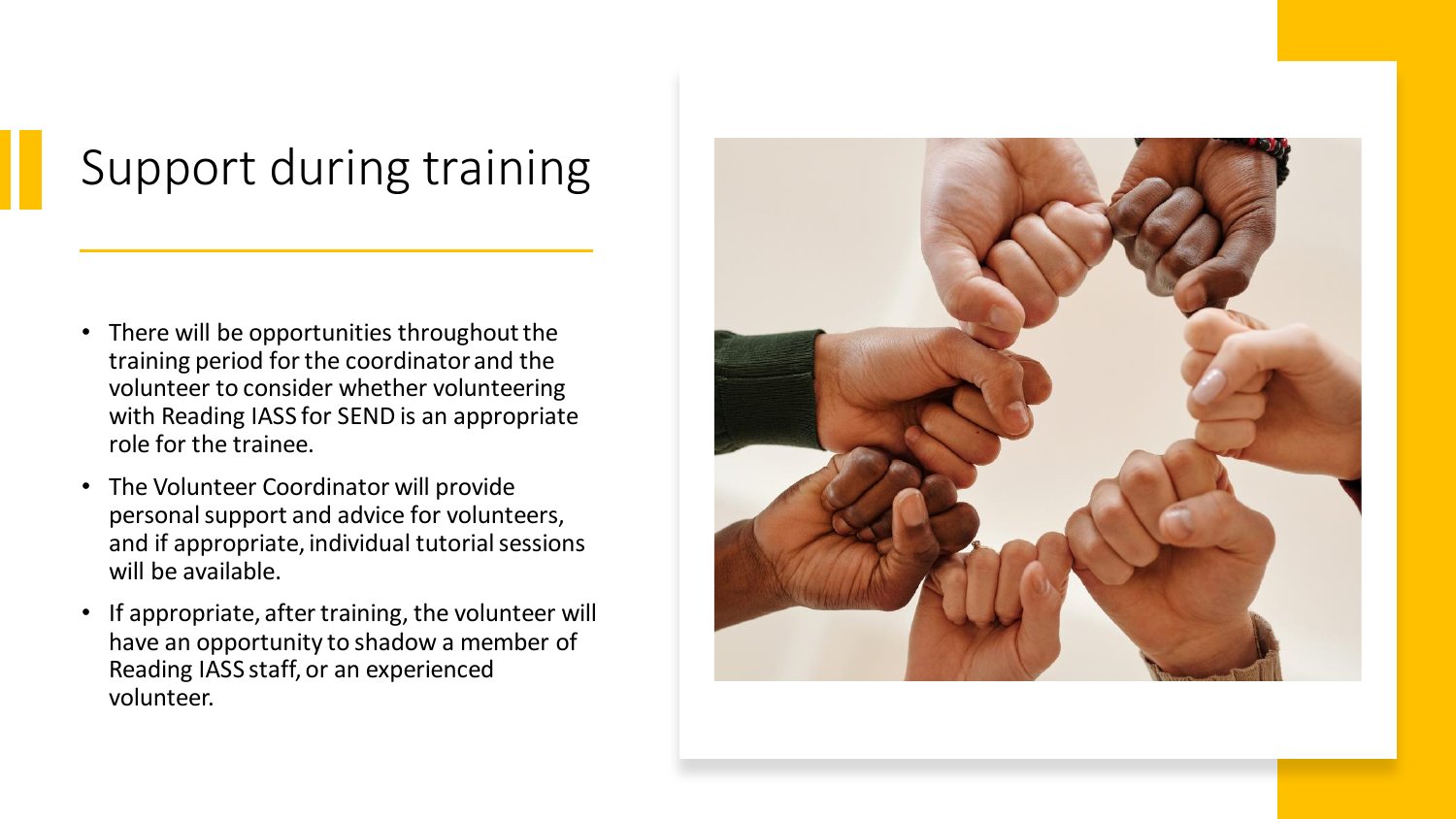### Support during training

- There will be opportunities throughout the training period for the coordinator and the volunteer to consider whether volunteering with Reading IASS for SEND is an appropriate role for the trainee.
- The Volunteer Coordinator will provide personal support and advice for volunteers, and if appropriate, individual tutorial sessions will be available.
- If appropriate, after training, the volunteer will have an opportunity to shadow a member of Reading IASS staff, or an experienced volunteer.

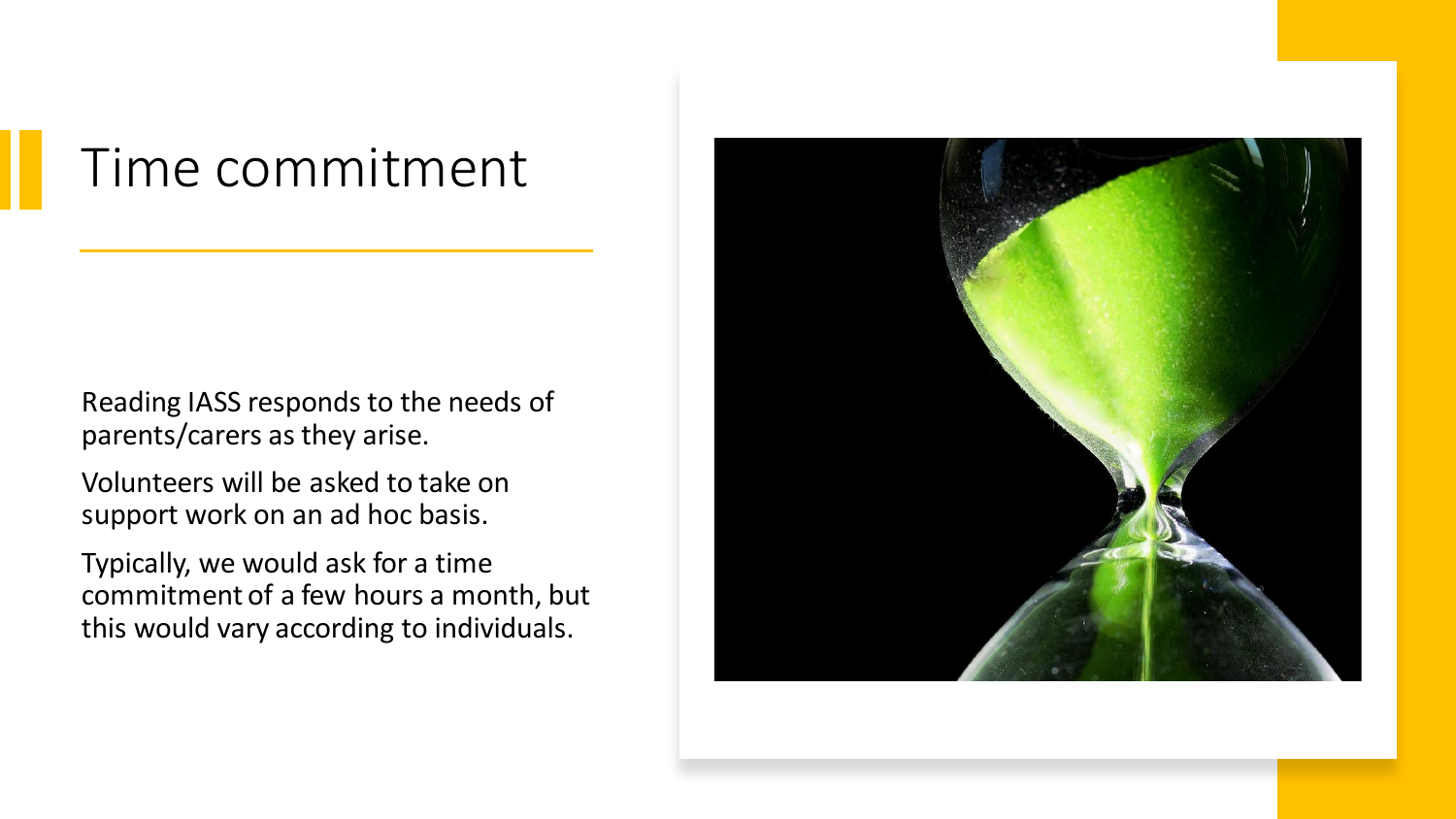### Time commitment

Reading IASS responds to the needs of parents/carers as they arise.

Volunteers will be asked to take on support work on an ad hoc basis.

Typically, we would ask for a time commitment of a few hours a month, but this would vary according to individuals.

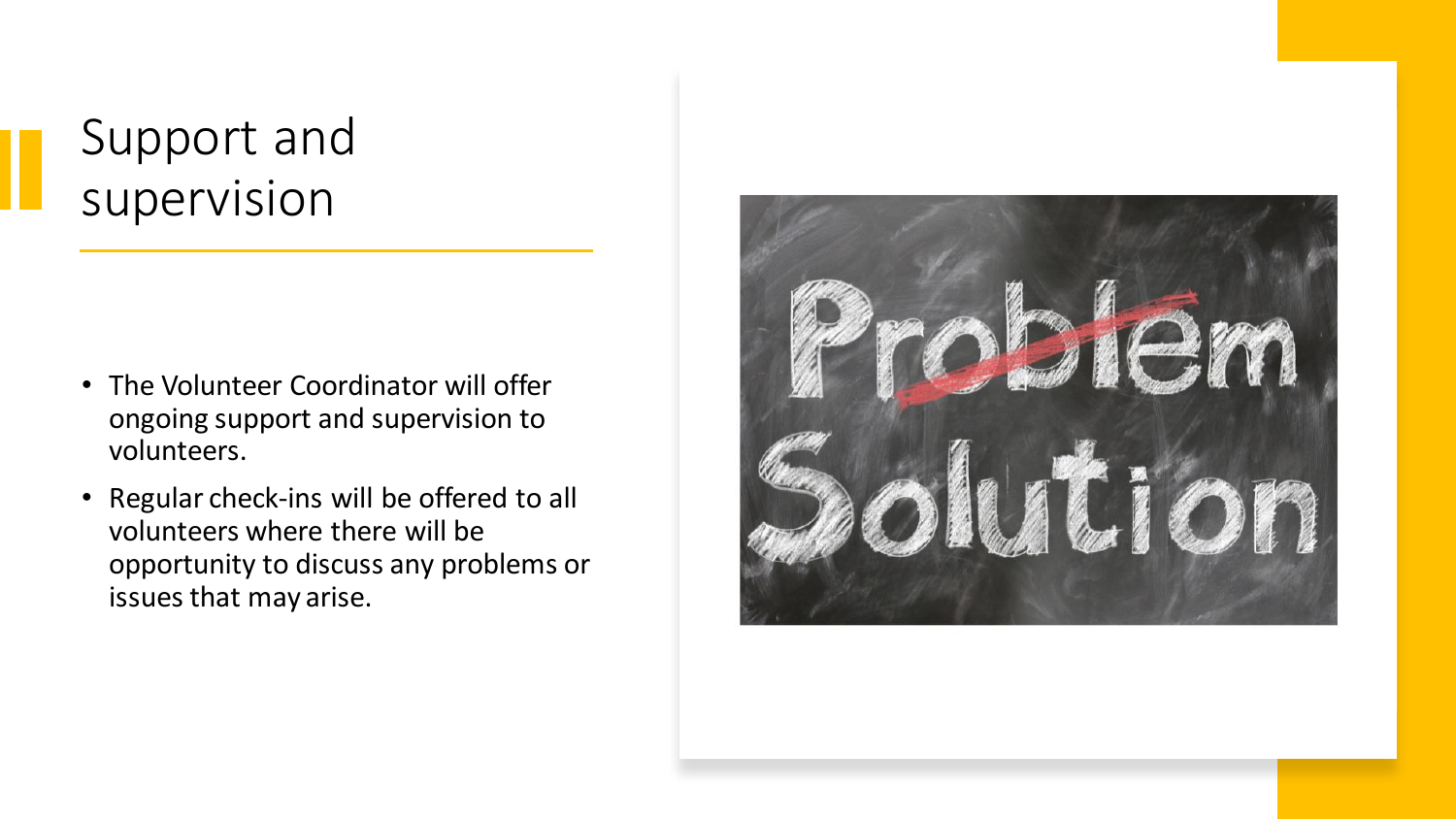#### Support and supervision

- The Volunteer Coordinator will offer ongoing support and supervision to volunteers.
- Regular check-ins will be offered to all volunteers where there will be opportunity to discuss any problems or issues that may arise.